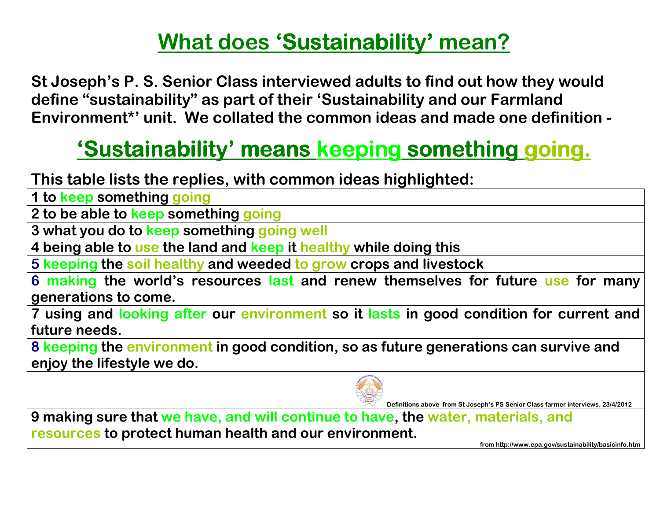## <u>What does 'Sustainability' mean?</u>

St Joseph's P. S. Senior Class interviewed adults to find out how they would define "sustainability" as part of their 'Sustainability and our Farmland Environment\*' unit. We collated the common ideas and made one definition -

## <u>'Sustainability' means keeping something going.</u>

This table lists the replies, with common ideas highlighted:

1 to keep something going

2 to be able to <mark>keep</mark> something going

3 what you do to <mark>keep</mark> something going well

4 being able to use the land and keep it healthy while doing this

5 keeping the soil healthy and weeded to grow crops and livestock

6 making the world's resources last and renew themselves for future use for many generations to come.

7 using and looking after our environment so it lasts in good condition for current and future needs.

8 keeping the environment in good condition, so as future generations can survive and enjoy the lifestyle we do.



Definitions above from St Joseph's PS Senior Class farmer interviews. 23/4/2012

9 making sure that we have, and will continue to have, the water, materials, and resources to protect human health and our environment.

from http://www.epa.gov/sustainability/basicinfo.htm